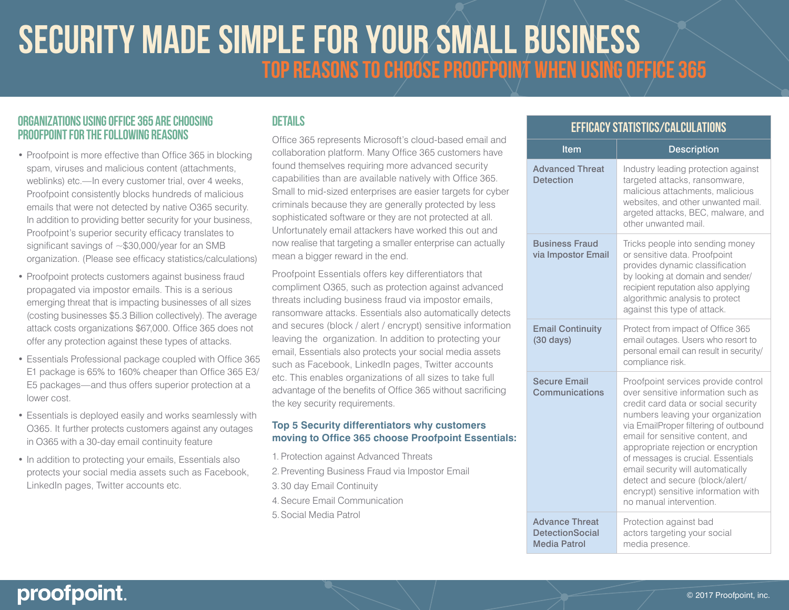# **Security Made Simple For Your Small Business**

**Top Reasons to Choose Proofpoint when using Office 365**

# **Organizations using Office 365 are choosing Proofpoint for the following reasons**

- Proofpoint is more effective than Office 365 in blocking spam, viruses and malicious content (attachments, weblinks) etc.—In every customer trial, over 4 weeks, Proofpoint consistently blocks hundreds of malicious emails that were not detected by native O365 security. In addition to providing better security for your business, Proofpoint's superior security efficacy translates to significant savings of ~\$30,000/year for an SMB organization. (Please see efficacy statistics/calculations)
- Proofpoint protects customers against business fraud propagated via impostor emails. This is a serious emerging threat that is impacting businesses of all sizes (costing businesses \$5.3 Billion collectively). The average attack costs organizations \$67,000. Office 365 does not offer any protection against these types of attacks.
- Essentials Professional package coupled with Office 365 E1 package is 65% to 160% cheaper than Office 365 E3/ E5 packages—and thus offers superior protection at a lower cost.
- Essentials is deployed easily and works seamlessly with O365. It further protects customers against any outages in O365 with a 30-day email continuity feature
- In addition to protecting your emails, Essentials also protects your social media assets such as Facebook, LinkedIn pages, Twitter accounts etc.

# **Details**

Office 365 represents Microsoft's cloud-based email and collaboration platform. Many Office 365 customers have found themselves requiring more advanced security capabilities than are available natively with Office 365. Small to mid-sized enterprises are easier targets for cyber criminals because they are generally protected by less sophisticated software or they are not protected at all. Unfortunately email attackers have worked this out and now realise that targeting a smaller enterprise can actually mean a bigger reward in the end.

Proofpoint Essentials offers key differentiators that compliment O365, such as protection against advanced threats including business fraud via impostor emails, ransomware attacks. Essentials also automatically detects and secures (block / alert / encrypt) sensitive information leaving the organization. In addition to protecting your email, Essentials also protects your social media assets such as Facebook, LinkedIn pages, Twitter accounts etc. This enables organizations of all sizes to take full advantage of the benefits of Office 365 without sacrificing the key security requirements.

## **Top 5 Security differentiators why customers moving to Office 365 choose Proofpoint Essentials:**

- 1. Protection against Advanced Threats
- 2. Preventing Business Fraud via Impostor Email
- 3. 30 day Email Continuity
- 4.Secure Email Communication
- 5.Social Media Patrol

| <b>EFFICACY STATISTICS/CALCULATIONS</b>                         |                                                                                                                                                                                                                                                                                                                                                                                                                                                           |  |  |  |
|-----------------------------------------------------------------|-----------------------------------------------------------------------------------------------------------------------------------------------------------------------------------------------------------------------------------------------------------------------------------------------------------------------------------------------------------------------------------------------------------------------------------------------------------|--|--|--|
| Item                                                            | <b>Description</b>                                                                                                                                                                                                                                                                                                                                                                                                                                        |  |  |  |
| <b>Advanced Threat</b><br><b>Detection</b>                      | Industry leading protection against<br>targeted attacks, ransomware,<br>malicious attachments, malicious<br>websites, and other unwanted mail.<br>argeted attacks, BEC, malware, and<br>other unwanted mail.                                                                                                                                                                                                                                              |  |  |  |
| <b>Business Fraud</b><br>via Impostor Email                     | Tricks people into sending money<br>or sensitive data. Proofpoint<br>provides dynamic classification<br>by looking at domain and sender/<br>recipient reputation also applying<br>algorithmic analysis to protect<br>against this type of attack.                                                                                                                                                                                                         |  |  |  |
| <b>Email Continuity</b><br>$(30 \text{ days})$                  | Protect from impact of Office 365<br>email outages. Users who resort to<br>personal email can result in security/<br>compliance risk.                                                                                                                                                                                                                                                                                                                     |  |  |  |
| <b>Secure Email</b><br>Communications                           | Proofpoint services provide control<br>over sensitive information such as<br>credit card data or social security<br>numbers leaving your organization<br>via EmailProper filtering of outbound<br>email for sensitive content, and<br>appropriate rejection or encryption<br>of messages is crucial. Essentials<br>email security will automatically<br>detect and secure (block/alert/<br>encrypt) sensitive information with<br>no manual intervention. |  |  |  |
| <b>Advance Threat</b><br><b>DetectionSocial</b><br>Media Patrol | Protection against bad<br>actors targeting your social<br>media presence.                                                                                                                                                                                                                                                                                                                                                                                 |  |  |  |